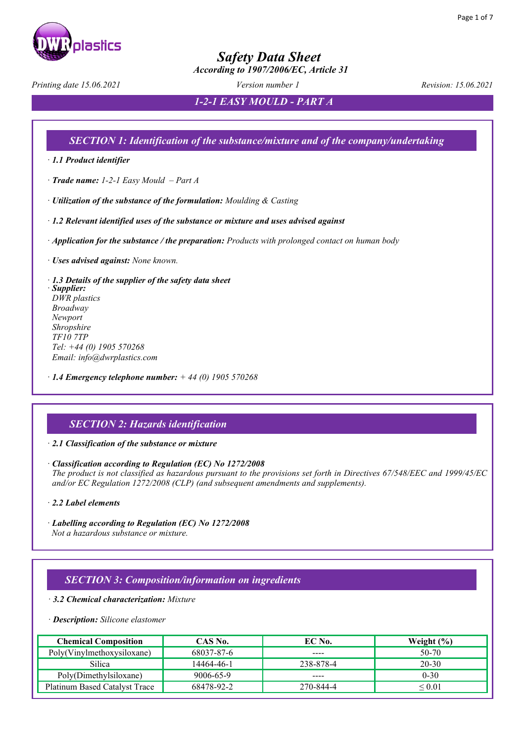

 *According to 1907/2006/EC, Article 31*

*Printing date 15.06.2021 Version number 1 Revision: 15.06.2021*

*1-2-1 EASY MOULD - PART A*

### *SECTION 1: Identification of the substance/mixture and of the company/undertaking*

· *1.1 Product identifier* 

· *Trade name: 1-2-1 Easy Mould – Part A*

· *Utilization of the substance of the formulation: Moulding & Casting*

· *1.2 Relevant identified uses of the substance or mixture and uses advised against* 

· *Application for the substance / the preparation: Products with prolonged contact on human body*

· *Uses advised against: None known.*

· *1.3 Details of the supplier of the safety data sheet*  · *Supplier: DWR plastics Broadway Newport Shropshire TF10 7TP Tel: +44 (0) 1905 570268 Email: info@dwrplastics.com*

· *1.4 Emergency telephone number: + 44 (0) 1905 570268*

### *SECTION 2: Hazards identification*

· *2.1 Classification of the substance or mixture* 

· *Classification according to Regulation (EC) No 1272/2008 The product is not classified as hazardous pursuant to the provisions set forth in Directives 67/548/EEC and 1999/45/EC and/or EC Regulation 1272/2008 (CLP) (and subsequent amendments and supplements).*

· *2.2 Label elements* 

· *Labelling according to Regulation (EC) No 1272/2008 Not a hazardous substance or mixture.*

### *SECTION 3: Composition/information on ingredients*

· *3.2 Chemical characterization: Mixture*

#### · *Description: Silicone elastomer*

| <b>Chemical Composition</b>   | CAS No.    | EC No.    | Weight $(\% )$ |
|-------------------------------|------------|-----------|----------------|
| Poly(Vinylmethoxysiloxane)    | 68037-87-6 | ----      | 50-70          |
| Silica                        | 14464-46-1 | 238-878-4 | $20 - 30$      |
| Poly(Dimethylsiloxane)        | 9006-65-9  | ----      | $0 - 30$       |
| Platinum Based Catalyst Trace | 68478-92-2 | 270-844-4 | $\leq$ $0.01$  |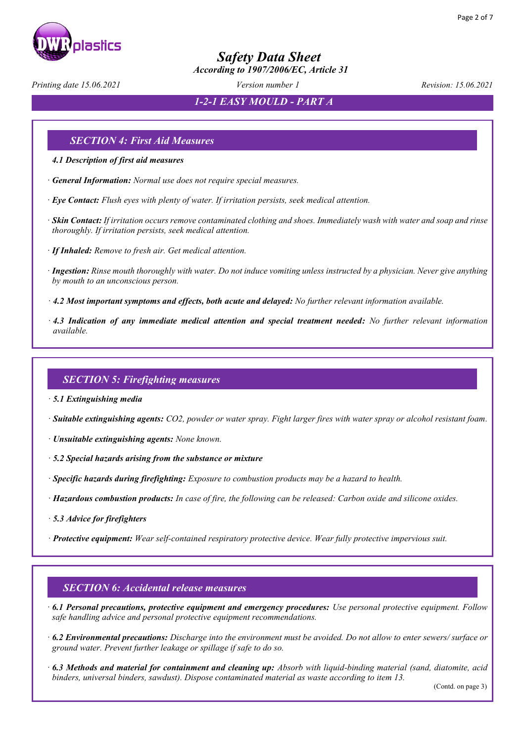

 *According to 1907/2006/EC, Article 31*

*Printing date 15.06.2021 Version number 1 Revision: 15.06.2021*

*1-2-1 EASY MOULD - PART A*

### *SECTION 4: First Aid Measures*

- *4.1 Description of first aid measures*
- · *General Information: Normal use does not require special measures.*
- · *Eye Contact: Flush eyes with plenty of water. If irritation persists, seek medical attention.*
- · *Skin Contact: If irritation occurs remove contaminated clothing and shoes. Immediately wash with water and soap and rinse thoroughly. If irritation persists, seek medical attention.*
- · *If Inhaled: Remove to fresh air. Get medical attention.*
- · *Ingestion: Rinse mouth thoroughly with water. Do not induce vomiting unless instructed by a physician. Never give anything by mouth to an unconscious person.*
- · *4.2 Most important symptoms and effects, both acute and delayed: No further relevant information available.*
- · *4.3 Indication of any immediate medical attention and special treatment needed: No further relevant information available.*

### *SECTION 5: Firefighting measures*

- · *5.1 Extinguishing media*
- · *Suitable extinguishing agents: CO2, powder or water spray. Fight larger fires with water spray or alcohol resistant foam.*
- · *Unsuitable extinguishing agents: None known.*
- · *5.2 Special hazards arising from the substance or mixture*
- · *Specific hazards during firefighting: Exposure to combustion products may be a hazard to health.*
- · *Hazardous combustion products: In case of fire, the following can be released: Carbon oxide and silicone oxides.*
- · *5.3 Advice for firefighters*
- · *Protective equipment: Wear self-contained respiratory protective device. Wear fully protective impervious suit.*

### *SECTION 6: Accidental release measures*

- · *6.1 Personal precautions, protective equipment and emergency procedures: Use personal protective equipment. Follow safe handling advice and personal protective equipment recommendations.*
- · *6.2 Environmental precautions: Discharge into the environment must be avoided. Do not allow to enter sewers/ surface or ground water. Prevent further leakage or spillage if safe to do so.*
- · *6.3 Methods and material for containment and cleaning up: Absorb with liquid-binding material (sand, diatomite, acid binders, universal binders, sawdust). Dispose contaminated material as waste according to item 13.*

(Contd. on page 3)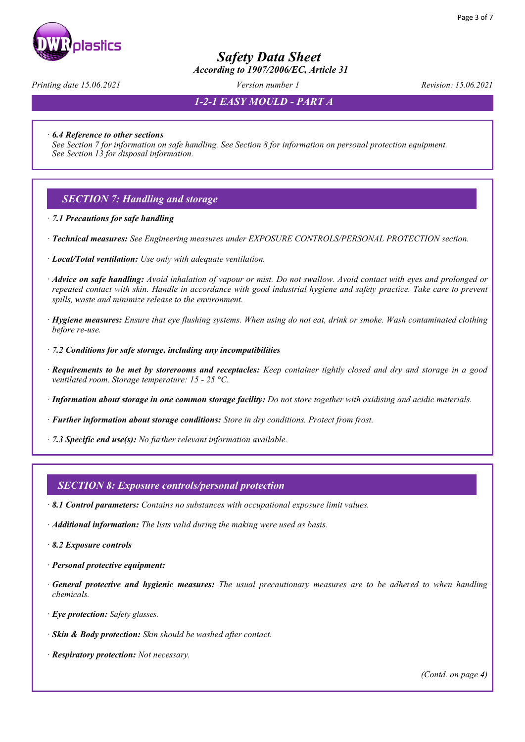

 *According to 1907/2006/EC, Article 31*

*Printing date 15.06.2021 Version number 1 Revision: 15.06.2021*

*1-2-1 EASY MOULD - PART A*

· *6.4 Reference to other sections* 

*See Section 7 for information on safe handling. See Section 8 for information on personal protection equipment. See Section 13 for disposal information.* 

### *SECTION 7: Handling and storage*

· *7.1 Precautions for safe handling*

- · *Technical measures: See Engineering measures under EXPOSURE CONTROLS/PERSONAL PROTECTION section.*
- · *Local/Total ventilation: Use only with adequate ventilation.*
- · *Advice on safe handling: Avoid inhalation of vapour or mist. Do not swallow. Avoid contact with eyes and prolonged or repeated contact with skin. Handle in accordance with good industrial hygiene and safety practice. Take care to prevent spills, waste and minimize release to the environment.*
- · *Hygiene measures: Ensure that eye flushing systems. When using do not eat, drink or smoke. Wash contaminated clothing before re-use.*
- · *7.2 Conditions for safe storage, including any incompatibilities*
- · *Requirements to be met by storerooms and receptacles: Keep container tightly closed and dry and storage in a good ventilated room. Storage temperature: 15 - 25 °C.*
- · *Information about storage in one common storage facility: Do not store together with oxidising and acidic materials.*
- · *Further information about storage conditions: Store in dry conditions. Protect from frost.*
- · *7.3 Specific end use(s): No further relevant information available.*

#### *SECTION 8: Exposure controls/personal protection*

- · *8.1 Control parameters: Contains no substances with occupational exposure limit values.*
- · *Additional information: The lists valid during the making were used as basis.*
- · *8.2 Exposure controls*
- · *Personal protective equipment:*
- · *General protective and hygienic measures: The usual precautionary measures are to be adhered to when handling chemicals.*
- · *Eye protection: Safety glasses.*
- · *Skin & Body protection: Skin should be washed after contact.*
- · *Respiratory protection: Not necessary.*

*(Contd. on page 4)*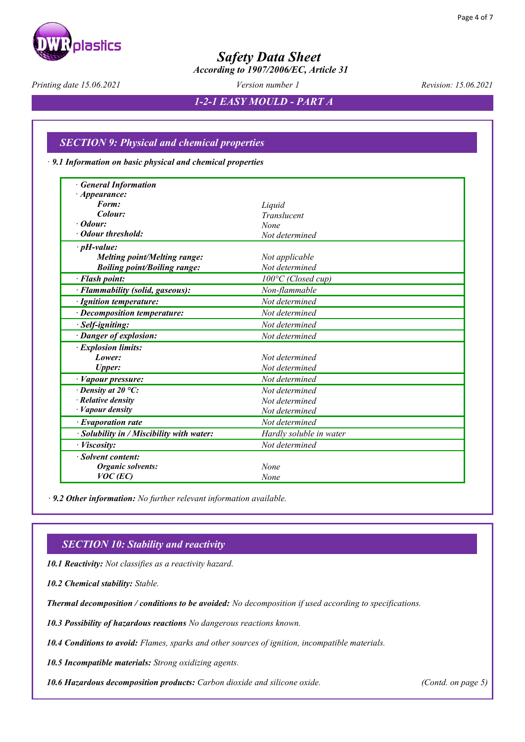

 *According to 1907/2006/EC, Article 31*

*Printing date 15.06.2021 Version number 1 Revision: 15.06.2021*

*1-2-1 EASY MOULD - PART A*

### *SECTION 9: Physical and chemical properties*

· *9.1 Information on basic physical and chemical properties*

| <b>General Information</b>                |                              |  |
|-------------------------------------------|------------------------------|--|
| · <i>Appearance</i> :                     |                              |  |
| Form:                                     | Liquid                       |  |
| Colour:                                   | Translucent                  |  |
| $\cdot$ Odour:                            | None                         |  |
| • Odour threshold:                        | Not determined               |  |
| $\cdot$ pH-value:                         |                              |  |
| <b>Melting point/Melting range:</b>       | Not applicable               |  |
| <b>Boiling point/Boiling range:</b>       | Not determined               |  |
| · Flash point:                            | $100^{\circ}$ C (Closed cup) |  |
| · Flammability (solid, gaseous):          | Non-flammable                |  |
| · Ignition temperature:                   | Not determined               |  |
| · Decomposition temperature:              | Not determined               |  |
| · Self-igniting:                          | Not determined               |  |
| · Danger of explosion:                    | Not determined               |  |
| · Explosion limits:                       |                              |  |
| Lower:                                    | Not determined               |  |
| <b>Upper:</b>                             | Not determined               |  |
| · Vapour pressure:                        | Not determined               |  |
| $\cdot$ Density at 20 °C:                 | Not determined               |  |
| Relative density                          | Not determined               |  |
| · Vapour density                          | Not determined               |  |
| $\cdot$ Evaporation rate                  | Not determined               |  |
| · Solubility in / Miscibility with water: | Hardly soluble in water      |  |
| · Viscosity:                              | Not determined               |  |
| · Solvent content:                        |                              |  |
| Organic solvents:                         | None                         |  |
| $VOC$ (EC)                                | None                         |  |

 *· 9.2 Other information: No further relevant information available.*

### *SECTION 10: Stability and reactivity*

· *10.1 Reactivity: Not classifies as a reactivity hazard.*

· *10.2 Chemical stability: Stable.*

· *Thermal decomposition / conditions to be avoided: No decomposition if used according to specifications.*

· *10.3 Possibility of hazardous reactions No dangerous reactions known.*

· *10.4 Conditions to avoid: Flames, sparks and other sources of ignition, incompatible materials.*

· *10.5 Incompatible materials: Strong oxidizing agents.*

· *10.6 Hazardous decomposition products: Carbon dioxide and silicone oxide. (Contd. on page 5)*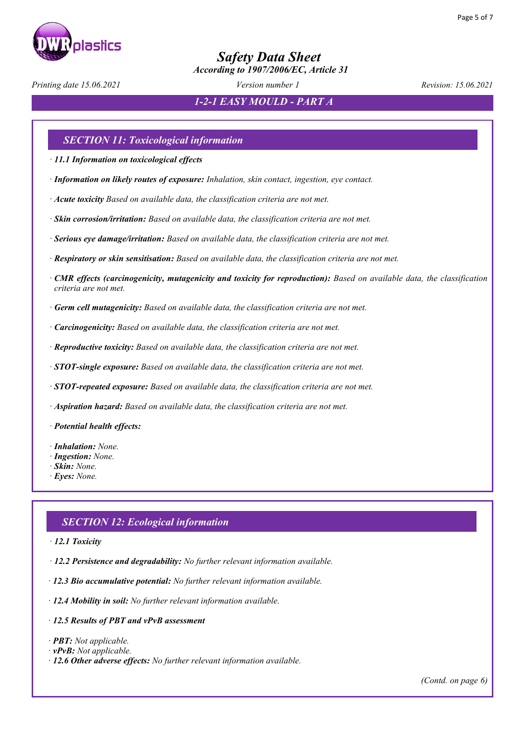

 *According to 1907/2006/EC, Article 31*

*Printing date 15.06.2021 Version number 1 Revision: 15.06.2021*

*1-2-1 EASY MOULD - PART A*

### *SECTION 11: Toxicological information*

· *11.1 Information on toxicological effects*

- · *Information on likely routes of exposure: Inhalation, skin contact, ingestion, eye contact.*
- · *Acute toxicity Based on available data, the classification criteria are not met.*
- · *Skin corrosion/irritation: Based on available data, the classification criteria are not met.*
- · *Serious eye damage/irritation: Based on available data, the classification criteria are not met.*
- · *Respiratory or skin sensitisation: Based on available data, the classification criteria are not met.*
- · *CMR effects (carcinogenicity, mutagenicity and toxicity for reproduction): Based on available data, the classification criteria are not met.*
- · *Germ cell mutagenicity: Based on available data, the classification criteria are not met.*
- · *Carcinogenicity: Based on available data, the classification criteria are not met.*
- · *Reproductive toxicity: Based on available data, the classification criteria are not met.*
- · *STOT-single exposure: Based on available data, the classification criteria are not met.*
- · *STOT-repeated exposure: Based on available data, the classification criteria are not met.*
- · *Aspiration hazard: Based on available data, the classification criteria are not met.*
- · *Potential health effects:*
- · *Inhalation: None.*
- · *Ingestion: None.*
- · *Skin: None.*
- · *Eyes: None.*

### *SECTION 12: Ecological information*

- · *12.1 Toxicity*
- · *12.2 Persistence and degradability: No further relevant information available.*
- · *12.3 Bio accumulative potential: No further relevant information available.*
- · *12.4 Mobility in soil: No further relevant information available.*
- · *12.5 Results of PBT and vPvB assessment*
- · *PBT: Not applicable.*
- · *vPvB: Not applicable.*
- · *12.6 Other adverse effects: No further relevant information available.*

*(Contd. on page 6)*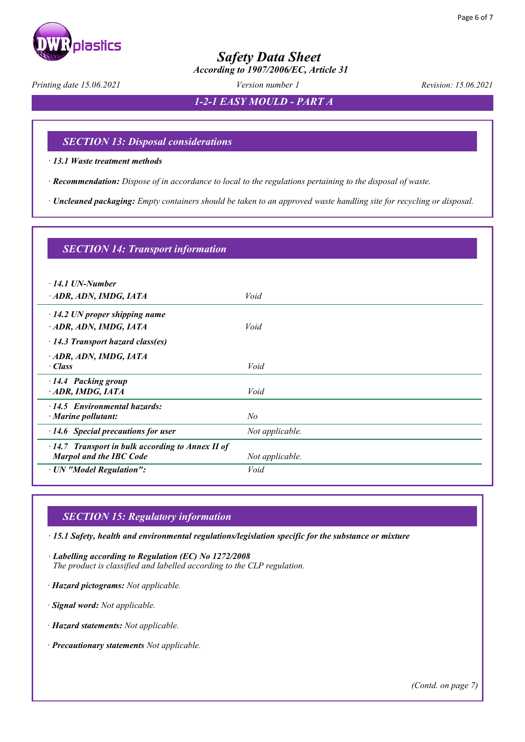

 *According to 1907/2006/EC, Article 31*

*Printing date 15.06.2021 Version number 1 Revision: 15.06.2021*

*1-2-1 EASY MOULD - PART A*

### *SECTION 13: Disposal considerations*

· *13.1 Waste treatment methods* 

· *Recommendation: Dispose of in accordance to local to the regulations pertaining to the disposal of waste.* 

· *Uncleaned packaging: Empty containers should be taken to an approved waste handling site for recycling or disposal.*

| <b>SECTION 14: Transport information</b>                         |                 |
|------------------------------------------------------------------|-----------------|
| $\cdot$ 14.1 UN-Number                                           |                 |
| ADR, ADN, IMDG, IATA                                             | Void            |
| $\cdot$ 14.2 UN proper shipping name                             |                 |
| ADR, ADN, IMDG, IATA                                             | Void            |
| $\cdot$ 14.3 Transport hazard class(es)                          |                 |
| · ADR, ADN, IMDG, IATA                                           |                 |
| $\cdot$ Class                                                    | Void            |
| 14.4 Packing group<br>ADR, IMDG, IATA                            | Void            |
|                                                                  |                 |
| $\cdot$ 14.5 Environmental hazards:<br>$\cdot$ Marine pollutant: | $N\!o$          |
| $\cdot$ 14.6 Special precautions for user                        | Not applicable. |
| $\cdot$ 14.7 Transport in bulk according to Annex II of          |                 |
| <b>Marpol and the IBC Code</b>                                   | Not applicable. |
| · UN "Model Regulation":                                         | Void            |

### *SECTION 15: Regulatory information*

· *15.1 Safety, health and environmental regulations/legislation specific for the substance or mixture* 

· *Labelling according to Regulation (EC) No 1272/2008 The product is classified and labelled according to the CLP regulation.* 

· *Hazard pictograms: Not applicable.* 

· *Signal word: Not applicable.*

· *Hazard statements: Not applicable.*

· *Precautionary statements Not applicable.*

*(Contd. on page 7)*